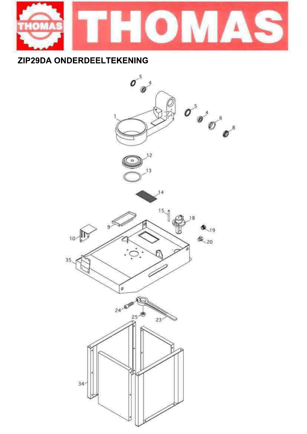

## ZIP29DA ONDERDEELTEKENING

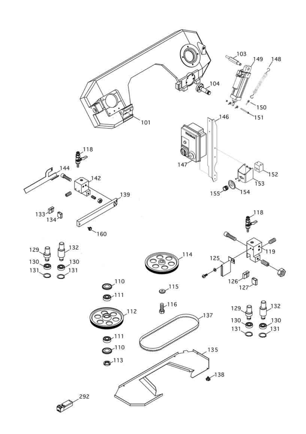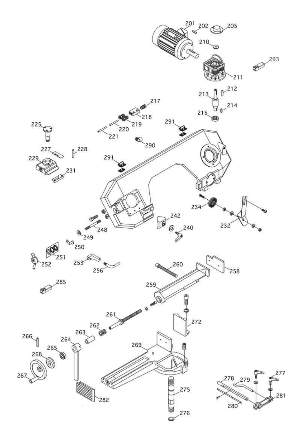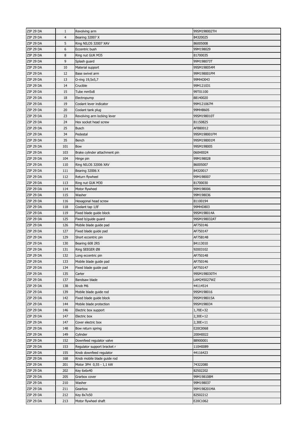| ZIP 29 DA | 1              | Revolving arm                 | 99SM198002TH |
|-----------|----------------|-------------------------------|--------------|
| ZIP 29 DA | $\overline{4}$ | Bearing 32007 X               | 84320025     |
| ZIP 29 DA | 5              | Ring NILOS 32007 XAV          | 86005008     |
| ZIP 29 DA | 6              | Eccentric bush                | 99M198029    |
| ZIP 29 DA | 8              | Ring nut GUK M35              | 81700035     |
| ZIP 29 DA | 9              | Splash guard                  | 99M198073T   |
| ZIP 29 DA | 10             | Material support              | 99SM198054M  |
| ZIP 29 DA | 12             | Base swivel arm               | 99M198001PM  |
| ZIP 29 DA | 13             | O-ring 19,5x5,7               | 99MHO043     |
| ZIP 29 DA | 14             | Crucible                      | 99M121031    |
| ZIP 29 DA | 15             | Tube mm5x8                    | 99T01100     |
| ZIP 29 DA | 18             | Electropump                   | 88140020     |
| ZIP 29 DA | 19             | Coolant lever indicator       | 99M121067M   |
| ZIP 29 DA | 20             | Coolant tank plug             | 99MHB605     |
| ZIP 29 DA | 23             | Revolving arm locking lever   | 99SM198010T  |
| ZIP 29 DA | 24             | Hex socket head screw         | 81150825     |
| ZIP 29 DA | 25             | <b>Busch</b>                  | AFB80012     |
| ZIP 29 DA | 34             | Pedestal                      | 99SM198001FM |
| ZIP 29 DA | 35             | Bench                         | 99SM198001M  |
| ZIP 29 DA | 101            | Bow                           | 99SM198005   |
| ZIP 29 DA | 103            | Brake cylinder attachment pin | 060H0024     |
| ZIP 29 DA | 104            | Hinge pin                     | 99M198028    |
| ZIP 29 DA | 110            | Ring NILOS 32006 XAV          | 86005007     |
| ZIP 29 DA | 111            | Bearing 32006 X               | 84320017     |
| ZIP 29 DA | 112            | Return flywheel               | 99M198007    |
| ZIP 29 DA | 113            | Ring nut GUK M30              | 81700030     |
| ZIP 29 DA | 114            | Motor flywheel                | 99M198006    |
| ZIP 29 DA | 115            | Washer                        | 99M198036    |
| ZIP 29 DA | 116            | Hexagonal head screw          | 81100194     |
| ZIP 29 DA | 118            | Coolant tap 1/8'              | 99MHD803     |
| ZIP 29 DA | 119            | Fixed blade guide block       | 99SM198014A  |
| ZIP 29 DA | 125            | Fixed b/guide guard           | 99SM198032AT |
| ZIP 29 DA | 126            | Mobile blade guide pad        | AF750146     |
| ZIP 29 DA | 127            | Fixed blade guide pad         | AF750147     |
| ZIP 29 DA | 129            | Short eccentric pin           | AF75B148     |
| ZIP 29 DA | 130            | Bearing 608 2RS               | 84113010     |
| ZIP 29 DA | 131            | Ring SEEGER Ø8                | 92003102     |
| ZIP 29 DA | 132            | Long eccentric pin            | AF750148     |
| ZIP 29 DA | 133            | Mobile blade guide pad        | AF750146     |
| ZIP 29 DA | 134            | Fixed blade quide pad         | AF750147     |
| ZIP 29 DA | 135            | Carter                        | 99SM198030TH |
| ZIP 29 DA | 137            | Bandsaw blade                 | LAM245027WZ  |
| ZIP 29 DA | 138            | Knob M6                       | 44114514     |
| ZIP 29 DA | 139            | Mobile blade guide rod        | 99SM198016   |
| ZIP 29 DA | 142            | Fixed blade guide block       | 99SM198015A  |
| ZIP 29 DA | 144            | Mobile blade protection       | 99SM198034   |
| ZIP 29 DA | 146            | Electric box support          | 1,70E+32     |
| ZIP 29 DA | 147            | Electric box                  | 2,30E+12     |
| ZIP 29 DA | 147            | Cover electric box            | 2,30E+11     |
| ZIP 29 DA | 148            | Bow return spring             | E20C0068     |
| ZIP 29 DA | 149            | Cylinder                      | 200H0022     |
| ZIP 29 DA | 152            | Downfeed regulator valve      | 88900001     |
| ZIP 29 DA | 153            | Regulator support bracket r   | 110H0089     |
| ZIP 29 DA | 155            | Knob downfeed regulator       | 44116423     |
| ZIP 29 DA | 168            | Knob mobile blade guide rod   |              |
| ZIP 29 DA | 201            | Motor 3PH 0,55 - 1,1 kW       | 74322080     |
| ZIP 29 DA | 202            | Key 6x6x40                    | 82502202     |
| ZIP 29 DA | 205            | Grarbox cover                 | 99M198108M   |
| ZIP 29 DA | 210            | Washer                        | 99M198037    |
| ZIP 29 DA | 211            | Gearbox                       | 99M198201MA  |
| ZIP 29 DA | 212            | Key 8x7x50                    | 82502212     |
| ZIP 29 DA | 213            | Motor flywheel shaft          | E20C1062     |
|           |                |                               |              |